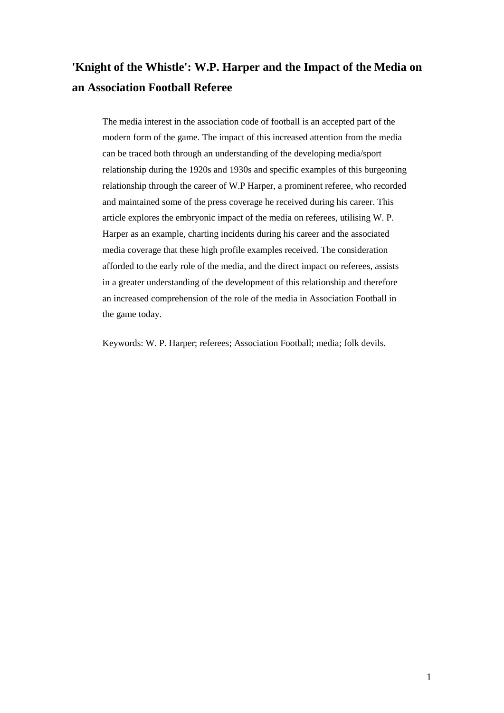# **'Knight of the Whistle': W.P. Harper and the Impact of the Media on an Association Football Referee**

The media interest in the association code of football is an accepted part of the modern form of the game. The impact of this increased attention from the media can be traced both through an understanding of the developing media/sport relationship during the 1920s and 1930s and specific examples of this burgeoning relationship through the career of W.P Harper, a prominent referee, who recorded and maintained some of the press coverage he received during his career. This article explores the embryonic impact of the media on referees, utilising W. P. Harper as an example, charting incidents during his career and the associated media coverage that these high profile examples received. The consideration afforded to the early role of the media, and the direct impact on referees, assists in a greater understanding of the development of this relationship and therefore an increased comprehension of the role of the media in Association Football in the game today.

Keywords: W. P. Harper; referees; Association Football; media; folk devils.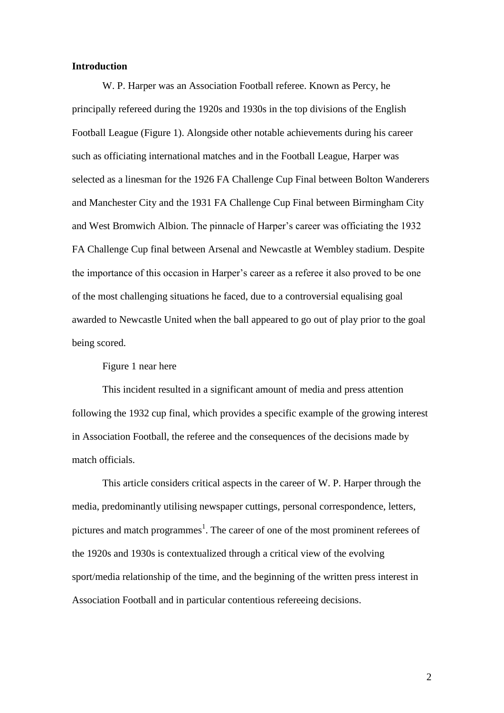# **Introduction**

W. P. Harper was an Association Football referee. Known as Percy, he principally refereed during the 1920s and 1930s in the top divisions of the English Football League (Figure 1). Alongside other notable achievements during his career such as officiating international matches and in the Football League, Harper was selected as a linesman for the 1926 FA Challenge Cup Final between Bolton Wanderers and Manchester City and the 1931 FA Challenge Cup Final between Birmingham City and West Bromwich Albion. The pinnacle of Harper's career was officiating the 1932 FA Challenge Cup final between Arsenal and Newcastle at Wembley stadium. Despite the importance of this occasion in Harper's career as a referee it also proved to be one of the most challenging situations he faced, due to a controversial equalising goal awarded to Newcastle United when the ball appeared to go out of play prior to the goal being scored.

Figure 1 near here

This incident resulted in a significant amount of media and press attention following the 1932 cup final, which provides a specific example of the growing interest in Association Football, the referee and the consequences of the decisions made by match officials.

This article considers critical aspects in the career of W. P. Harper through the media, predominantly utilising newspaper cuttings, personal correspondence, letters, pictures and match programmes<sup>1</sup>. The career of one of the most prominent referees of the 1920s and 1930s is contextualized through a critical view of the evolving sport/media relationship of the time, and the beginning of the written press interest in Association Football and in particular contentious refereeing decisions.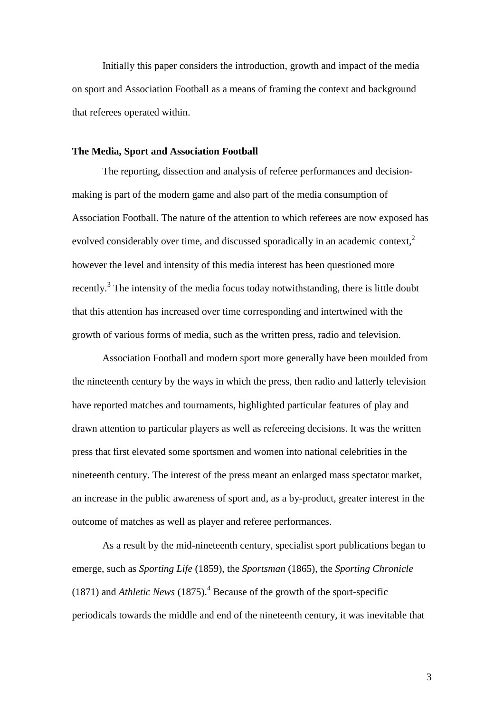Initially this paper considers the introduction, growth and impact of the media on sport and Association Football as a means of framing the context and background that referees operated within.

# **The Media, Sport and Association Football**

The reporting, dissection and analysis of referee performances and decisionmaking is part of the modern game and also part of the media consumption of Association Football. The nature of the attention to which referees are now exposed has evolved considerably over time, and discussed sporadically in an academic context,<sup>2</sup> however the level and intensity of this media interest has been questioned more recently.<sup>3</sup> The intensity of the media focus today notwithstanding, there is little doubt that this attention has increased over time corresponding and intertwined with the growth of various forms of media, such as the written press, radio and television.

Association Football and modern sport more generally have been moulded from the nineteenth century by the ways in which the press, then radio and latterly television have reported matches and tournaments, highlighted particular features of play and drawn attention to particular players as well as refereeing decisions. It was the written press that first elevated some sportsmen and women into national celebrities in the nineteenth century. The interest of the press meant an enlarged mass spectator market, an increase in the public awareness of sport and, as a by-product, greater interest in the outcome of matches as well as player and referee performances.

As a result by the mid-nineteenth century, specialist sport publications began to emerge, such as *Sporting Life* (1859), the *Sportsman* (1865), the *Sporting Chronicle* (1871) and *Athletic News* (1875). <sup>4</sup> Because of the growth of the sport-specific periodicals towards the middle and end of the nineteenth century, it was inevitable that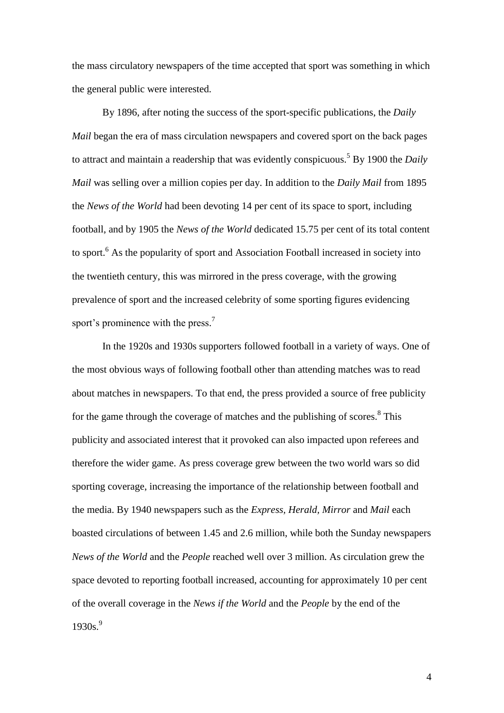the mass circulatory newspapers of the time accepted that sport was something in which the general public were interested.

By 1896, after noting the success of the sport-specific publications, the *Daily Mail* began the era of mass circulation newspapers and covered sport on the back pages to attract and maintain a readership that was evidently conspicuous. <sup>5</sup> By 1900 the *Daily Mail* was selling over a million copies per day. In addition to the *Daily Mail* from 1895 the *News of the World* had been devoting 14 per cent of its space to sport, including football, and by 1905 the *News of the World* dedicated 15.75 per cent of its total content to sport. <sup>6</sup> As the popularity of sport and Association Football increased in society into the twentieth century, this was mirrored in the press coverage, with the growing prevalence of sport and the increased celebrity of some sporting figures evidencing sport's prominence with the press.<sup>7</sup>

In the 1920s and 1930s supporters followed football in a variety of ways. One of the most obvious ways of following football other than attending matches was to read about matches in newspapers. To that end, the press provided a source of free publicity for the game through the coverage of matches and the publishing of scores.<sup>8</sup> This publicity and associated interest that it provoked can also impacted upon referees and therefore the wider game. As press coverage grew between the two world wars so did sporting coverage, increasing the importance of the relationship between football and the media. By 1940 newspapers such as the *Express, Herald, Mirror* and *Mail* each boasted circulations of between 1.45 and 2.6 million, while both the Sunday newspapers *News of the World* and the *People* reached well over 3 million. As circulation grew the space devoted to reporting football increased, accounting for approximately 10 per cent of the overall coverage in the *News if the World* and the *People* by the end of the 1930s. 9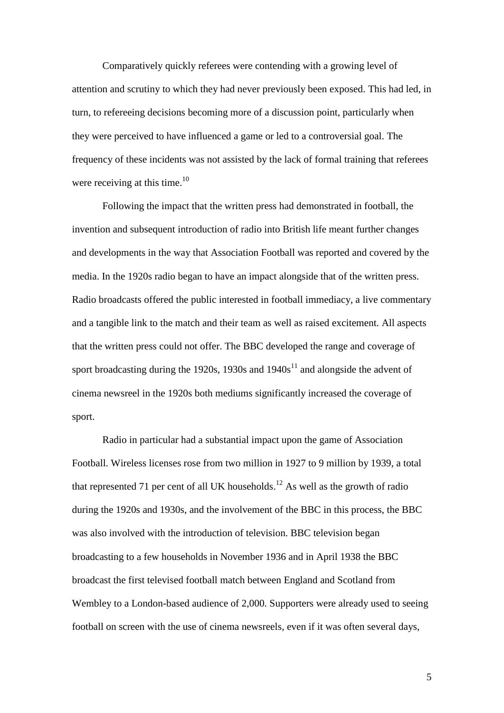Comparatively quickly referees were contending with a growing level of attention and scrutiny to which they had never previously been exposed. This had led, in turn, to refereeing decisions becoming more of a discussion point, particularly when they were perceived to have influenced a game or led to a controversial goal. The frequency of these incidents was not assisted by the lack of formal training that referees were receiving at this time.<sup>10</sup>

Following the impact that the written press had demonstrated in football, the invention and subsequent introduction of radio into British life meant further changes and developments in the way that Association Football was reported and covered by the media. In the 1920s radio began to have an impact alongside that of the written press. Radio broadcasts offered the public interested in football immediacy, a live commentary and a tangible link to the match and their team as well as raised excitement. All aspects that the written press could not offer. The BBC developed the range and coverage of sport broadcasting during the 1920s, 1930s and  $1940s<sup>11</sup>$  and alongside the advent of cinema newsreel in the 1920s both mediums significantly increased the coverage of sport.

Radio in particular had a substantial impact upon the game of Association Football. Wireless licenses rose from two million in 1927 to 9 million by 1939, a total that represented 71 per cent of all UK households.<sup>12</sup> As well as the growth of radio during the 1920s and 1930s, and the involvement of the BBC in this process, the BBC was also involved with the introduction of television. BBC television began broadcasting to a few households in November 1936 and in April 1938 the BBC broadcast the first televised football match between England and Scotland from Wembley to a London-based audience of 2,000. Supporters were already used to seeing football on screen with the use of cinema newsreels, even if it was often several days,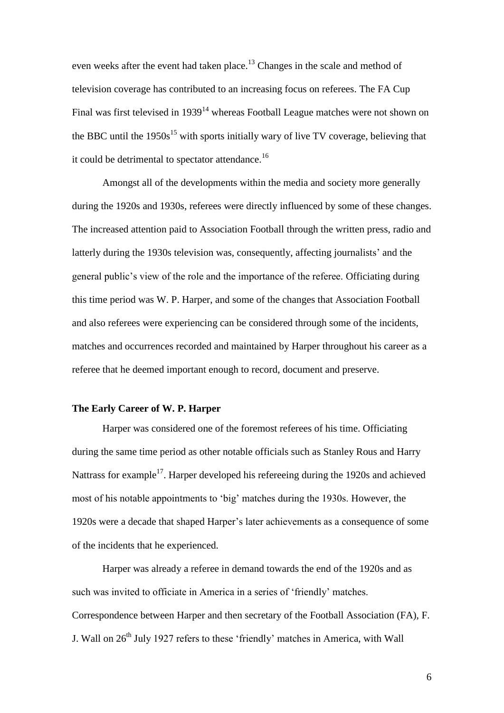even weeks after the event had taken place.<sup>13</sup> Changes in the scale and method of television coverage has contributed to an increasing focus on referees. The FA Cup Final was first televised in 1939<sup>14</sup> whereas Football League matches were not shown on the BBC until the  $1950s^{15}$  with sports initially wary of live TV coverage, believing that it could be detrimental to spectator attendance.<sup>16</sup>

Amongst all of the developments within the media and society more generally during the 1920s and 1930s, referees were directly influenced by some of these changes. The increased attention paid to Association Football through the written press, radio and latterly during the 1930s television was, consequently, affecting journalists' and the general public's view of the role and the importance of the referee. Officiating during this time period was W. P. Harper, and some of the changes that Association Football and also referees were experiencing can be considered through some of the incidents, matches and occurrences recorded and maintained by Harper throughout his career as a referee that he deemed important enough to record, document and preserve.

# **The Early Career of W. P. Harper**

Harper was considered one of the foremost referees of his time. Officiating during the same time period as other notable officials such as Stanley Rous and Harry Nattrass for example<sup>17</sup>. Harper developed his refereeing during the 1920s and achieved most of his notable appointments to 'big' matches during the 1930s. However, the 1920s were a decade that shaped Harper's later achievements as a consequence of some of the incidents that he experienced.

Harper was already a referee in demand towards the end of the 1920s and as such was invited to officiate in America in a series of 'friendly' matches. Correspondence between Harper and then secretary of the Football Association (FA), F. J. Wall on  $26<sup>th</sup>$  July 1927 refers to these 'friendly' matches in America, with Wall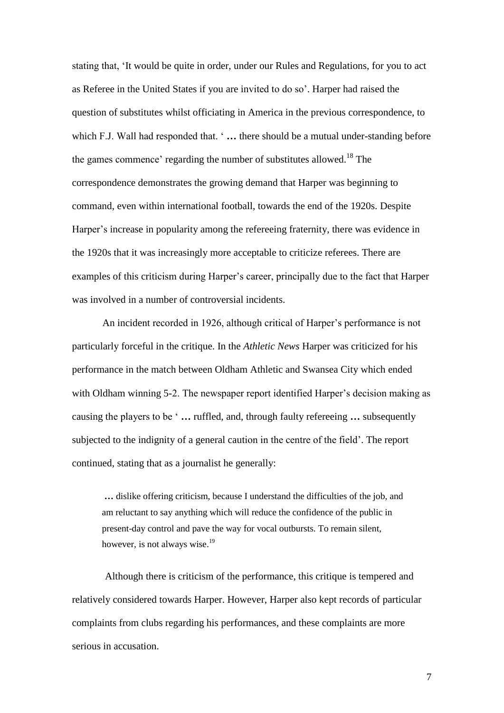stating that, 'It would be quite in order, under our Rules and Regulations, for you to act as Referee in the United States if you are invited to do so'. Harper had raised the question of substitutes whilst officiating in America in the previous correspondence, to which F.J. Wall had responded that. '... there should be a mutual under-standing before the games commence' regarding the number of substitutes allowed.<sup>18</sup> The correspondence demonstrates the growing demand that Harper was beginning to command, even within international football, towards the end of the 1920s. Despite Harper's increase in popularity among the refereeing fraternity, there was evidence in the 1920s that it was increasingly more acceptable to criticize referees. There are examples of this criticism during Harper's career, principally due to the fact that Harper was involved in a number of controversial incidents.

An incident recorded in 1926, although critical of Harper's performance is not particularly forceful in the critique. In the *Athletic News* Harper was criticized for his performance in the match between Oldham Athletic and Swansea City which ended with Oldham winning 5-2. The newspaper report identified Harper's decision making as causing the players to be ' **…** ruffled, and, through faulty refereeing **…** subsequently subjected to the indignity of a general caution in the centre of the field'. The report continued, stating that as a journalist he generally:

**…** dislike offering criticism, because I understand the difficulties of the job, and am reluctant to say anything which will reduce the confidence of the public in present-day control and pave the way for vocal outbursts. To remain silent, however, is not always wise.<sup>19</sup>

Although there is criticism of the performance, this critique is tempered and relatively considered towards Harper. However, Harper also kept records of particular complaints from clubs regarding his performances, and these complaints are more serious in accusation.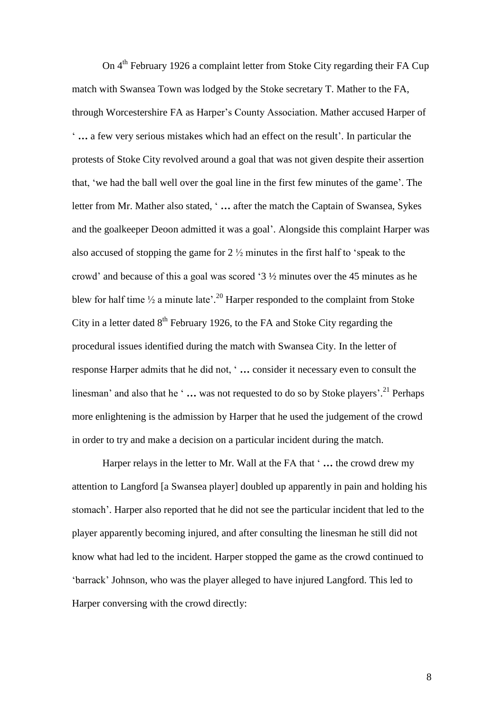On 4<sup>th</sup> February 1926 a complaint letter from Stoke City regarding their FA Cup match with Swansea Town was lodged by the Stoke secretary T. Mather to the FA, through Worcestershire FA as Harper's County Association. Mather accused Harper of ' **…** a few very serious mistakes which had an effect on the result'. In particular the protests of Stoke City revolved around a goal that was not given despite their assertion that, 'we had the ball well over the goal line in the first few minutes of the game'. The letter from Mr. Mather also stated, ' **…** after the match the Captain of Swansea, Sykes and the goalkeeper Deoon admitted it was a goal'. Alongside this complaint Harper was also accused of stopping the game for 2 ½ minutes in the first half to 'speak to the crowd' and because of this a goal was scored '3 ½ minutes over the 45 minutes as he blew for half time  $\frac{1}{2}$  a minute late'.<sup>20</sup> Harper responded to the complaint from Stoke City in a letter dated  $8<sup>th</sup>$  February 1926, to the FA and Stoke City regarding the procedural issues identified during the match with Swansea City. In the letter of response Harper admits that he did not, ' **…** consider it necessary even to consult the linesman' and also that he ' **…** was not requested to do so by Stoke players'. <sup>21</sup> Perhaps more enlightening is the admission by Harper that he used the judgement of the crowd in order to try and make a decision on a particular incident during the match.

Harper relays in the letter to Mr. Wall at the FA that ' **…** the crowd drew my attention to Langford [a Swansea player] doubled up apparently in pain and holding his stomach'. Harper also reported that he did not see the particular incident that led to the player apparently becoming injured, and after consulting the linesman he still did not know what had led to the incident. Harper stopped the game as the crowd continued to 'barrack' Johnson, who was the player alleged to have injured Langford. This led to Harper conversing with the crowd directly: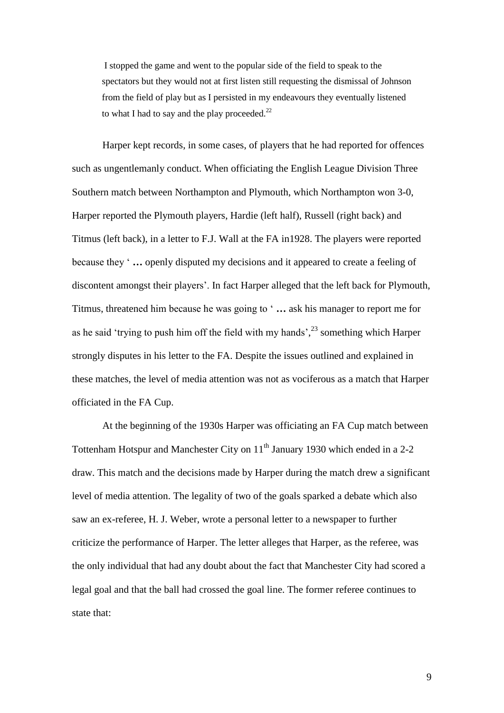I stopped the game and went to the popular side of the field to speak to the spectators but they would not at first listen still requesting the dismissal of Johnson from the field of play but as I persisted in my endeavours they eventually listened to what I had to say and the play proceeded. $^{22}$ 

Harper kept records, in some cases, of players that he had reported for offences such as ungentlemanly conduct. When officiating the English League Division Three Southern match between Northampton and Plymouth, which Northampton won 3-0, Harper reported the Plymouth players, Hardie (left half), Russell (right back) and Titmus (left back), in a letter to F.J. Wall at the FA in1928. The players were reported because they ' **…** openly disputed my decisions and it appeared to create a feeling of discontent amongst their players'. In fact Harper alleged that the left back for Plymouth, Titmus, threatened him because he was going to ' **…** ask his manager to report me for as he said 'trying to push him off the field with my hands',<sup>23</sup> something which Harper strongly disputes in his letter to the FA. Despite the issues outlined and explained in these matches, the level of media attention was not as vociferous as a match that Harper officiated in the FA Cup.

At the beginning of the 1930s Harper was officiating an FA Cup match between Tottenham Hotspur and Manchester City on 11<sup>th</sup> January 1930 which ended in a 2-2 draw. This match and the decisions made by Harper during the match drew a significant level of media attention. The legality of two of the goals sparked a debate which also saw an ex-referee, H. J. Weber, wrote a personal letter to a newspaper to further criticize the performance of Harper. The letter alleges that Harper, as the referee, was the only individual that had any doubt about the fact that Manchester City had scored a legal goal and that the ball had crossed the goal line. The former referee continues to state that: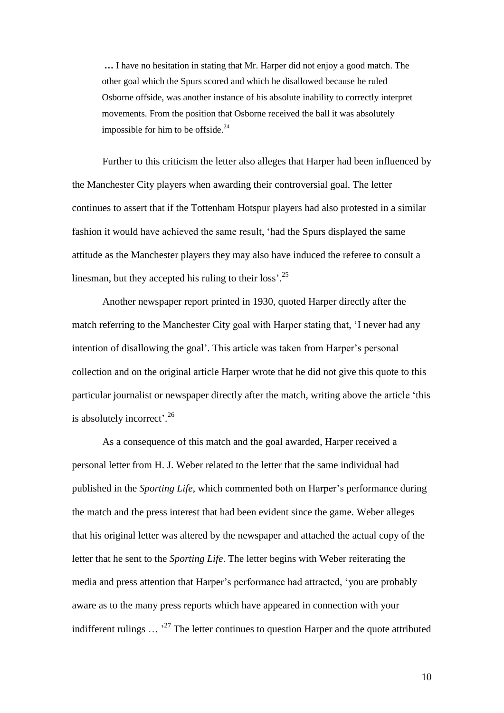**…** I have no hesitation in stating that Mr. Harper did not enjoy a good match. The other goal which the Spurs scored and which he disallowed because he ruled Osborne offside, was another instance of his absolute inability to correctly interpret movements. From the position that Osborne received the ball it was absolutely impossible for him to be offside.<sup>24</sup>

Further to this criticism the letter also alleges that Harper had been influenced by the Manchester City players when awarding their controversial goal. The letter continues to assert that if the Tottenham Hotspur players had also protested in a similar fashion it would have achieved the same result, 'had the Spurs displayed the same attitude as the Manchester players they may also have induced the referee to consult a linesman, but they accepted his ruling to their loss'.<sup>25</sup>

Another newspaper report printed in 1930, quoted Harper directly after the match referring to the Manchester City goal with Harper stating that, 'I never had any intention of disallowing the goal'. This article was taken from Harper's personal collection and on the original article Harper wrote that he did not give this quote to this particular journalist or newspaper directly after the match, writing above the article 'this is absolutely incorrect'.<sup>26</sup>

As a consequence of this match and the goal awarded, Harper received a personal letter from H. J. Weber related to the letter that the same individual had published in the *Sporting Life*, which commented both on Harper's performance during the match and the press interest that had been evident since the game. Weber alleges that his original letter was altered by the newspaper and attached the actual copy of the letter that he sent to the *Sporting Life*. The letter begins with Weber reiterating the media and press attention that Harper's performance had attracted, 'you are probably aware as to the many press reports which have appeared in connection with your indifferent rulings  $\ldots$ <sup>27</sup> The letter continues to question Harper and the quote attributed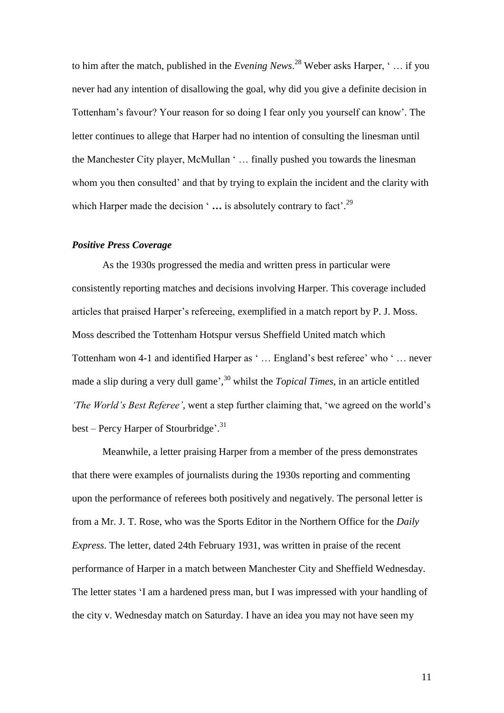to him after the match, published in the *Evening News*. <sup>28</sup> Weber asks Harper, ' … if you never had any intention of disallowing the goal, why did you give a definite decision in Tottenham's favour? Your reason for so doing I fear only you yourself can know'. The letter continues to allege that Harper had no intention of consulting the linesman until the Manchester City player, McMullan ' … finally pushed you towards the linesman whom you then consulted' and that by trying to explain the incident and the clarity with which Harper made the decision '... is absolutely contrary to fact'.<sup>29</sup>

### *Positive Press Coverage*

As the 1930s progressed the media and written press in particular were consistently reporting matches and decisions involving Harper. This coverage included articles that praised Harper's refereeing, exemplified in a match report by P. J. Moss. Moss described the Tottenham Hotspur versus Sheffield United match which Tottenham won 4-1 and identified Harper as ' … England's best referee' who ' … never made a slip during a very dull game', 30 whilst the *Topical Times*, in an article entitled *'The World's Best Referee',* went a step further claiming that, 'we agreed on the world's best – Percy Harper of Stourbridge'.<sup>31</sup>

Meanwhile, a letter praising Harper from a member of the press demonstrates that there were examples of journalists during the 1930s reporting and commenting upon the performance of referees both positively and negatively. The personal letter is from a Mr. J. T. Rose, who was the Sports Editor in the Northern Office for the *Daily Express*. The letter, dated 24th February 1931, was written in praise of the recent performance of Harper in a match between Manchester City and Sheffield Wednesday. The letter states 'I am a hardened press man, but I was impressed with your handling of the city v. Wednesday match on Saturday. I have an idea you may not have seen my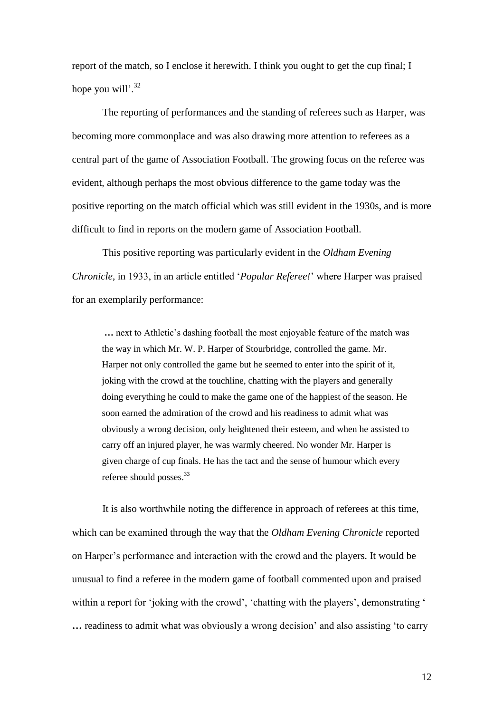report of the match, so I enclose it herewith. I think you ought to get the cup final; I hope you will'.<sup>32</sup>

The reporting of performances and the standing of referees such as Harper, was becoming more commonplace and was also drawing more attention to referees as a central part of the game of Association Football. The growing focus on the referee was evident, although perhaps the most obvious difference to the game today was the positive reporting on the match official which was still evident in the 1930s, and is more difficult to find in reports on the modern game of Association Football.

This positive reporting was particularly evident in the *Oldham Evening Chronicle*, in 1933, in an article entitled '*Popular Referee!*' where Harper was praised for an exemplarily performance:

**…** next to Athletic's dashing football the most enjoyable feature of the match was the way in which Mr. W. P. Harper of Stourbridge, controlled the game. Mr. Harper not only controlled the game but he seemed to enter into the spirit of it, joking with the crowd at the touchline, chatting with the players and generally doing everything he could to make the game one of the happiest of the season. He soon earned the admiration of the crowd and his readiness to admit what was obviously a wrong decision, only heightened their esteem, and when he assisted to carry off an injured player, he was warmly cheered. No wonder Mr. Harper is given charge of cup finals. He has the tact and the sense of humour which every referee should posses.<sup>33</sup>

It is also worthwhile noting the difference in approach of referees at this time, which can be examined through the way that the *Oldham Evening Chronicle* reported on Harper's performance and interaction with the crowd and the players. It would be unusual to find a referee in the modern game of football commented upon and praised within a report for 'joking with the crowd', 'chatting with the players', demonstrating ' **…** readiness to admit what was obviously a wrong decision' and also assisting 'to carry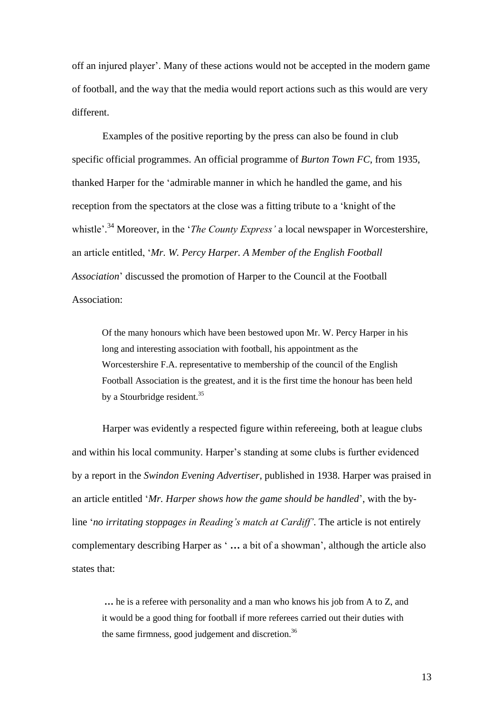off an injured player'. Many of these actions would not be accepted in the modern game of football, and the way that the media would report actions such as this would are very different.

Examples of the positive reporting by the press can also be found in club specific official programmes. An official programme of *Burton Town FC*, from 1935, thanked Harper for the 'admirable manner in which he handled the game, and his reception from the spectators at the close was a fitting tribute to a 'knight of the whistle'. <sup>34</sup> Moreover, in the '*The County Express'* a local newspaper in Worcestershire, an article entitled, '*Mr. W. Percy Harper. A Member of the English Football Association*' discussed the promotion of Harper to the Council at the Football Association:

Of the many honours which have been bestowed upon Mr. W. Percy Harper in his long and interesting association with football, his appointment as the Worcestershire F.A. representative to membership of the council of the English Football Association is the greatest, and it is the first time the honour has been held by a Stourbridge resident.<sup>35</sup>

Harper was evidently a respected figure within refereeing, both at league clubs and within his local community. Harper's standing at some clubs is further evidenced by a report in the *Swindon Evening Advertiser*, published in 1938. Harper was praised in an article entitled '*Mr. Harper shows how the game should be handled*', with the byline '*no irritating stoppages in Reading's match at Cardiff'*. The article is not entirely complementary describing Harper as ' **…** a bit of a showman', although the article also states that:

**…** he is a referee with personality and a man who knows his job from A to Z, and it would be a good thing for football if more referees carried out their duties with the same firmness, good judgement and discretion.<sup>36</sup>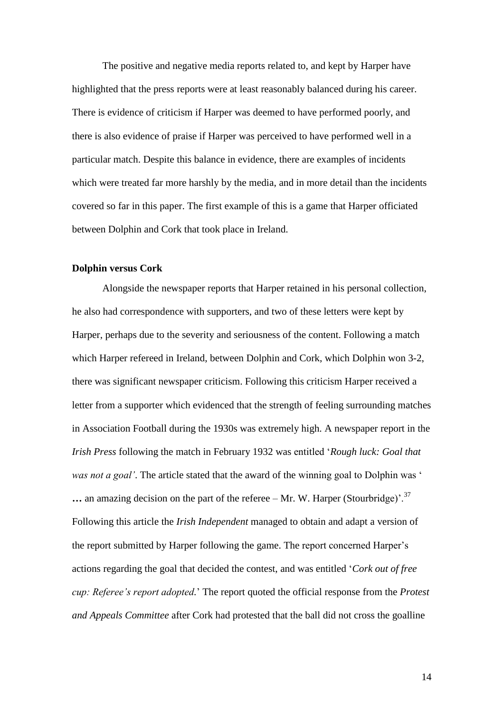The positive and negative media reports related to, and kept by Harper have highlighted that the press reports were at least reasonably balanced during his career. There is evidence of criticism if Harper was deemed to have performed poorly, and there is also evidence of praise if Harper was perceived to have performed well in a particular match. Despite this balance in evidence, there are examples of incidents which were treated far more harshly by the media, and in more detail than the incidents covered so far in this paper. The first example of this is a game that Harper officiated between Dolphin and Cork that took place in Ireland.

# **Dolphin versus Cork**

Alongside the newspaper reports that Harper retained in his personal collection, he also had correspondence with supporters, and two of these letters were kept by Harper, perhaps due to the severity and seriousness of the content. Following a match which Harper refereed in Ireland, between Dolphin and Cork, which Dolphin won 3-2, there was significant newspaper criticism. Following this criticism Harper received a letter from a supporter which evidenced that the strength of feeling surrounding matches in Association Football during the 1930s was extremely high. A newspaper report in the *Irish Press* following the match in February 1932 was entitled '*Rough luck: Goal that was not a goal'*. The article stated that the award of the winning goal to Dolphin was '  $\ldots$  an amazing decision on the part of the referee – Mr. W. Harper (Stourbridge)<sup>'.<sup>37</sup></sup> Following this article the *Irish Independent* managed to obtain and adapt a version of the report submitted by Harper following the game. The report concerned Harper's actions regarding the goal that decided the contest, and was entitled '*Cork out of free cup: Referee's report adopted.*' The report quoted the official response from the *Protest and Appeals Committee* after Cork had protested that the ball did not cross the goalline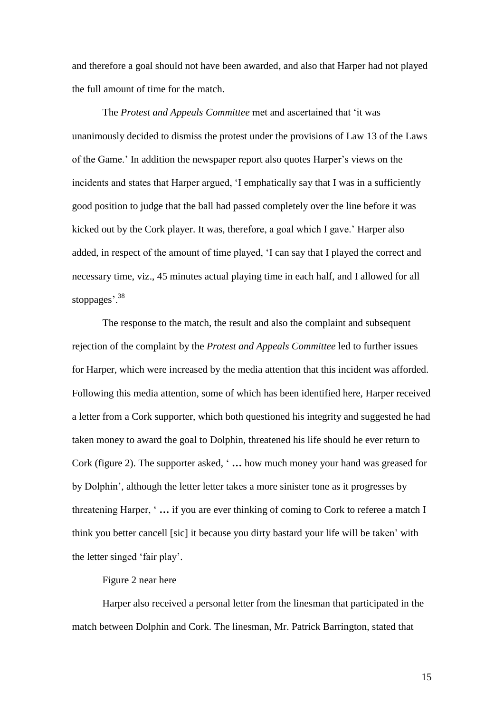and therefore a goal should not have been awarded, and also that Harper had not played the full amount of time for the match.

The *Protest and Appeals Committee* met and ascertained that 'it was unanimously decided to dismiss the protest under the provisions of Law 13 of the Laws of the Game.' In addition the newspaper report also quotes Harper's views on the incidents and states that Harper argued, 'I emphatically say that I was in a sufficiently good position to judge that the ball had passed completely over the line before it was kicked out by the Cork player. It was, therefore, a goal which I gave.' Harper also added, in respect of the amount of time played, 'I can say that I played the correct and necessary time, viz., 45 minutes actual playing time in each half, and I allowed for all stoppages'.<sup>38</sup>

The response to the match, the result and also the complaint and subsequent rejection of the complaint by the *Protest and Appeals Committee* led to further issues for Harper, which were increased by the media attention that this incident was afforded. Following this media attention, some of which has been identified here, Harper received a letter from a Cork supporter, which both questioned his integrity and suggested he had taken money to award the goal to Dolphin, threatened his life should he ever return to Cork (figure 2). The supporter asked, ' **…** how much money your hand was greased for by Dolphin', although the letter letter takes a more sinister tone as it progresses by threatening Harper, ' **…** if you are ever thinking of coming to Cork to referee a match I think you better cancell [sic] it because you dirty bastard your life will be taken' with the letter singed 'fair play'.

Figure 2 near here

Harper also received a personal letter from the linesman that participated in the match between Dolphin and Cork. The linesman, Mr. Patrick Barrington, stated that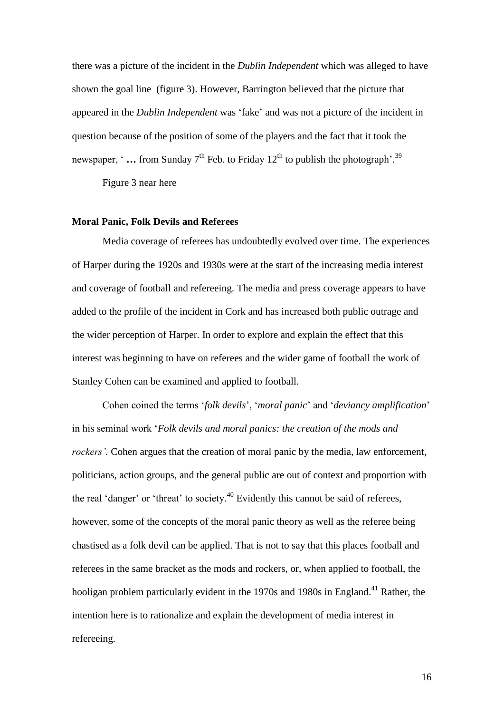there was a picture of the incident in the *Dublin Independent* which was alleged to have shown the goal line (figure 3). However, Barrington believed that the picture that appeared in the *Dublin Independent* was 'fake' and was not a picture of the incident in question because of the position of some of the players and the fact that it took the newspaper, '... from Sunday 7<sup>th</sup> Feb. to Friday 12<sup>th</sup> to publish the photograph'.<sup>39</sup>

Figure 3 near here

#### **Moral Panic, Folk Devils and Referees**

Media coverage of referees has undoubtedly evolved over time. The experiences of Harper during the 1920s and 1930s were at the start of the increasing media interest and coverage of football and refereeing. The media and press coverage appears to have added to the profile of the incident in Cork and has increased both public outrage and the wider perception of Harper. In order to explore and explain the effect that this interest was beginning to have on referees and the wider game of football the work of Stanley Cohen can be examined and applied to football.

Cohen coined the terms '*folk devils*', '*moral panic*' and '*deviancy amplification*' in his seminal work '*Folk devils and moral panics: the creation of the mods and rockers'*. Cohen argues that the creation of moral panic by the media, law enforcement, politicians, action groups, and the general public are out of context and proportion with the real 'danger' or 'threat' to society.<sup>40</sup> Evidently this cannot be said of referees, however, some of the concepts of the moral panic theory as well as the referee being chastised as a folk devil can be applied. That is not to say that this places football and referees in the same bracket as the mods and rockers, or, when applied to football, the hooligan problem particularly evident in the 1970s and 1980s in England.<sup>41</sup> Rather, the intention here is to rationalize and explain the development of media interest in refereeing.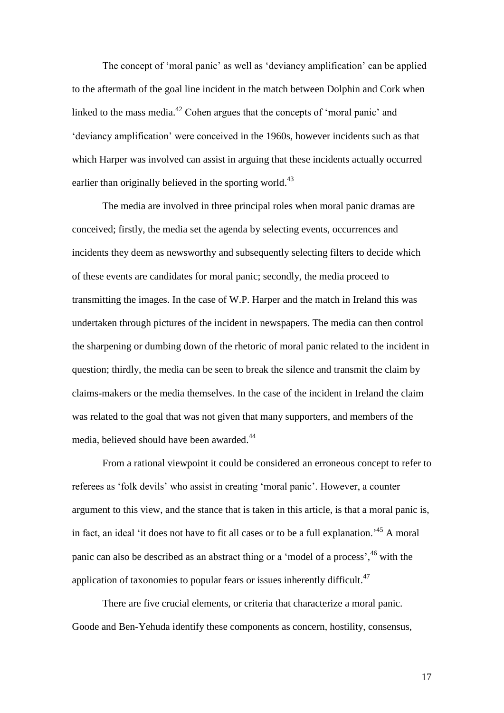The concept of 'moral panic' as well as 'deviancy amplification' can be applied to the aftermath of the goal line incident in the match between Dolphin and Cork when linked to the mass media.<sup>42</sup> Cohen argues that the concepts of 'moral panic' and 'deviancy amplification' were conceived in the 1960s, however incidents such as that which Harper was involved can assist in arguing that these incidents actually occurred earlier than originally believed in the sporting world.<sup>43</sup>

The media are involved in three principal roles when moral panic dramas are conceived; firstly, the media set the agenda by selecting events, occurrences and incidents they deem as newsworthy and subsequently selecting filters to decide which of these events are candidates for moral panic; secondly, the media proceed to transmitting the images. In the case of W.P. Harper and the match in Ireland this was undertaken through pictures of the incident in newspapers. The media can then control the sharpening or dumbing down of the rhetoric of moral panic related to the incident in question; thirdly, the media can be seen to break the silence and transmit the claim by claims-makers or the media themselves. In the case of the incident in Ireland the claim was related to the goal that was not given that many supporters, and members of the media, believed should have been awarded.<sup>44</sup>

From a rational viewpoint it could be considered an erroneous concept to refer to referees as 'folk devils' who assist in creating 'moral panic'. However, a counter argument to this view, and the stance that is taken in this article, is that a moral panic is, in fact, an ideal 'it does not have to fit all cases or to be a full explanation.<sup> $45$ </sup> A moral panic can also be described as an abstract thing or a 'model of a process', <sup>46</sup> with the application of taxonomies to popular fears or issues inherently difficult.<sup>47</sup>

There are five crucial elements, or criteria that characterize a moral panic. Goode and Ben-Yehuda identify these components as concern, hostility, consensus,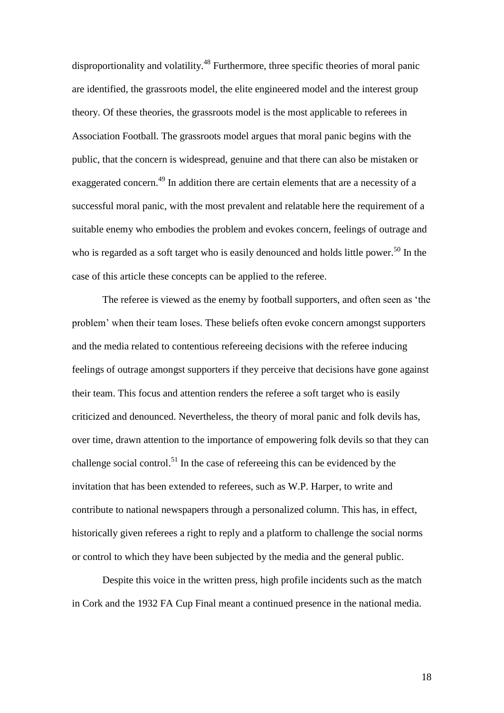disproportionality and volatility.<sup>48</sup> Furthermore, three specific theories of moral panic are identified, the grassroots model, the elite engineered model and the interest group theory. Of these theories, the grassroots model is the most applicable to referees in Association Football. The grassroots model argues that moral panic begins with the public, that the concern is widespread, genuine and that there can also be mistaken or exaggerated concern.<sup>49</sup> In addition there are certain elements that are a necessity of a successful moral panic, with the most prevalent and relatable here the requirement of a suitable enemy who embodies the problem and evokes concern, feelings of outrage and who is regarded as a soft target who is easily denounced and holds little power.<sup>50</sup> In the case of this article these concepts can be applied to the referee.

The referee is viewed as the enemy by football supporters, and often seen as 'the problem' when their team loses. These beliefs often evoke concern amongst supporters and the media related to contentious refereeing decisions with the referee inducing feelings of outrage amongst supporters if they perceive that decisions have gone against their team. This focus and attention renders the referee a soft target who is easily criticized and denounced. Nevertheless, the theory of moral panic and folk devils has, over time, drawn attention to the importance of empowering folk devils so that they can challenge social control.<sup>51</sup> In the case of refereeing this can be evidenced by the invitation that has been extended to referees, such as W.P. Harper, to write and contribute to national newspapers through a personalized column. This has, in effect, historically given referees a right to reply and a platform to challenge the social norms or control to which they have been subjected by the media and the general public.

Despite this voice in the written press, high profile incidents such as the match in Cork and the 1932 FA Cup Final meant a continued presence in the national media.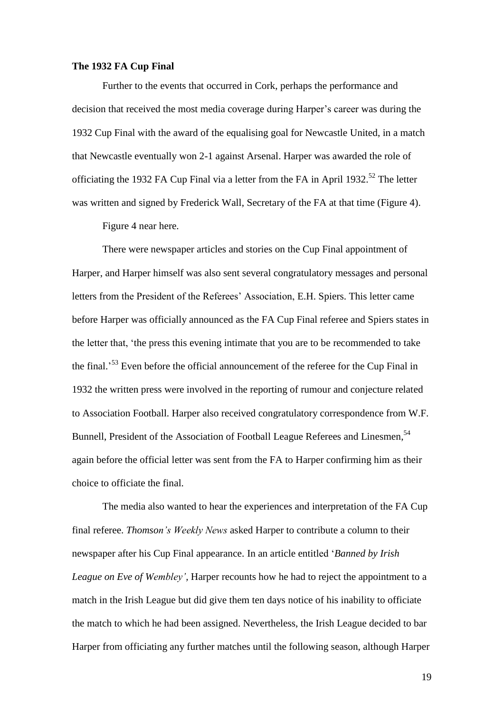#### **The 1932 FA Cup Final**

Further to the events that occurred in Cork, perhaps the performance and decision that received the most media coverage during Harper's career was during the 1932 Cup Final with the award of the equalising goal for Newcastle United, in a match that Newcastle eventually won 2-1 against Arsenal. Harper was awarded the role of officiating the 1932 FA Cup Final via a letter from the FA in April 1932.<sup>52</sup> The letter was written and signed by Frederick Wall, Secretary of the FA at that time (Figure 4).

Figure 4 near here.

There were newspaper articles and stories on the Cup Final appointment of Harper, and Harper himself was also sent several congratulatory messages and personal letters from the President of the Referees' Association, E.H. Spiers. This letter came before Harper was officially announced as the FA Cup Final referee and Spiers states in the letter that, 'the press this evening intimate that you are to be recommended to take the final.<sup>53</sup> Even before the official announcement of the referee for the Cup Final in 1932 the written press were involved in the reporting of rumour and conjecture related to Association Football. Harper also received congratulatory correspondence from W.F. Bunnell, President of the Association of Football League Referees and Linesmen,<sup>54</sup> again before the official letter was sent from the FA to Harper confirming him as their choice to officiate the final.

The media also wanted to hear the experiences and interpretation of the FA Cup final referee. *Thomson's Weekly News* asked Harper to contribute a column to their newspaper after his Cup Final appearance. In an article entitled '*Banned by Irish League on Eve of Wembley',* Harper recounts how he had to reject the appointment to a match in the Irish League but did give them ten days notice of his inability to officiate the match to which he had been assigned. Nevertheless, the Irish League decided to bar Harper from officiating any further matches until the following season, although Harper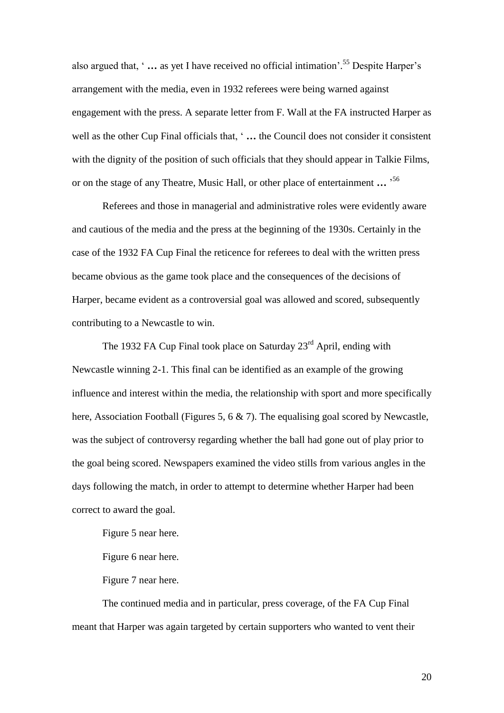also argued that, ' **…** as yet I have received no official intimation'. <sup>55</sup> Despite Harper's arrangement with the media, even in 1932 referees were being warned against engagement with the press. A separate letter from F. Wall at the FA instructed Harper as well as the other Cup Final officials that, ' **…** the Council does not consider it consistent with the dignity of the position of such officials that they should appear in Talkie Films, or on the stage of any Theatre, Music Hall, or other place of entertainment **…** ' 56

Referees and those in managerial and administrative roles were evidently aware and cautious of the media and the press at the beginning of the 1930s. Certainly in the case of the 1932 FA Cup Final the reticence for referees to deal with the written press became obvious as the game took place and the consequences of the decisions of Harper, became evident as a controversial goal was allowed and scored, subsequently contributing to a Newcastle to win.

The 1932 FA Cup Final took place on Saturday  $23<sup>rd</sup>$  April, ending with Newcastle winning 2-1. This final can be identified as an example of the growing influence and interest within the media, the relationship with sport and more specifically here, Association Football (Figures 5, 6 & 7). The equalising goal scored by Newcastle, was the subject of controversy regarding whether the ball had gone out of play prior to the goal being scored. Newspapers examined the video stills from various angles in the days following the match, in order to attempt to determine whether Harper had been correct to award the goal.

Figure 5 near here.

Figure 6 near here.

Figure 7 near here.

The continued media and in particular, press coverage, of the FA Cup Final meant that Harper was again targeted by certain supporters who wanted to vent their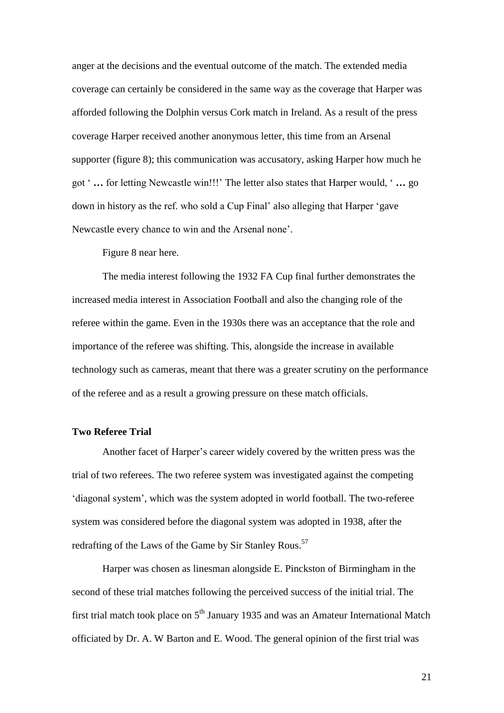anger at the decisions and the eventual outcome of the match. The extended media coverage can certainly be considered in the same way as the coverage that Harper was afforded following the Dolphin versus Cork match in Ireland. As a result of the press coverage Harper received another anonymous letter, this time from an Arsenal supporter (figure 8); this communication was accusatory, asking Harper how much he got ' **…** for letting Newcastle win!!!' The letter also states that Harper would, ' **…** go down in history as the ref. who sold a Cup Final' also alleging that Harper 'gave Newcastle every chance to win and the Arsenal none'.

Figure 8 near here.

The media interest following the 1932 FA Cup final further demonstrates the increased media interest in Association Football and also the changing role of the referee within the game. Even in the 1930s there was an acceptance that the role and importance of the referee was shifting. This, alongside the increase in available technology such as cameras, meant that there was a greater scrutiny on the performance of the referee and as a result a growing pressure on these match officials.

# **Two Referee Trial**

Another facet of Harper's career widely covered by the written press was the trial of two referees. The two referee system was investigated against the competing 'diagonal system', which was the system adopted in world football. The two-referee system was considered before the diagonal system was adopted in 1938, after the redrafting of the Laws of the Game by Sir Stanley Rous.<sup>57</sup>

Harper was chosen as linesman alongside E. Pinckston of Birmingham in the second of these trial matches following the perceived success of the initial trial. The first trial match took place on  $5<sup>th</sup>$  January 1935 and was an Amateur International Match officiated by Dr. A. W Barton and E. Wood. The general opinion of the first trial was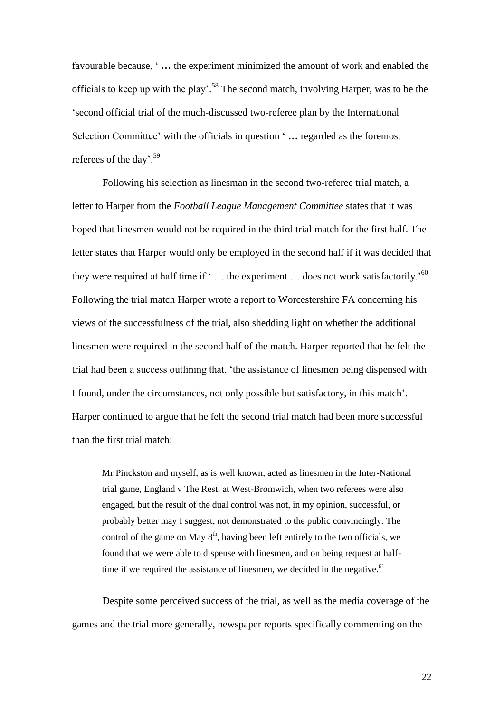favourable because, ' **…** the experiment minimized the amount of work and enabled the officials to keep up with the play'.<sup>58</sup> The second match, involving Harper, was to be the 'second official trial of the much-discussed two-referee plan by the International Selection Committee' with the officials in question ' **…** regarded as the foremost referees of the day'.<sup>59</sup>

Following his selection as linesman in the second two-referee trial match, a letter to Harper from the *Football League Management Committee* states that it was hoped that linesmen would not be required in the third trial match for the first half. The letter states that Harper would only be employed in the second half if it was decided that they were required at half time if  $\cdot \dots$  the experiment  $\dots$  does not work satisfactorily.<sup>500</sup> Following the trial match Harper wrote a report to Worcestershire FA concerning his views of the successfulness of the trial, also shedding light on whether the additional linesmen were required in the second half of the match. Harper reported that he felt the trial had been a success outlining that, 'the assistance of linesmen being dispensed with I found, under the circumstances, not only possible but satisfactory, in this match'. Harper continued to argue that he felt the second trial match had been more successful than the first trial match:

Mr Pinckston and myself, as is well known, acted as linesmen in the Inter-National trial game, England v The Rest, at West-Bromwich, when two referees were also engaged, but the result of the dual control was not, in my opinion, successful, or probably better may I suggest, not demonstrated to the public convincingly. The control of the game on May  $8<sup>th</sup>$ , having been left entirely to the two officials, we found that we were able to dispense with linesmen, and on being request at halftime if we required the assistance of linesmen, we decided in the negative.  $61$ 

Despite some perceived success of the trial, as well as the media coverage of the games and the trial more generally, newspaper reports specifically commenting on the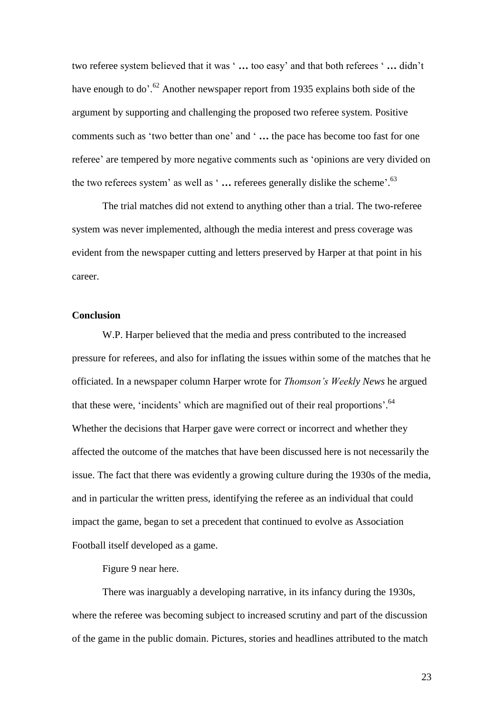two referee system believed that it was ' **…** too easy' and that both referees ' **…** didn't have enough to do'.<sup>62</sup> Another newspaper report from 1935 explains both side of the argument by supporting and challenging the proposed two referee system. Positive comments such as 'two better than one' and ' **…** the pace has become too fast for one referee' are tempered by more negative comments such as 'opinions are very divided on the two referees system' as well as ' **…** referees generally dislike the scheme'. 63

The trial matches did not extend to anything other than a trial. The two-referee system was never implemented, although the media interest and press coverage was evident from the newspaper cutting and letters preserved by Harper at that point in his career.

# **Conclusion**

W.P. Harper believed that the media and press contributed to the increased pressure for referees, and also for inflating the issues within some of the matches that he officiated. In a newspaper column Harper wrote for *Thomson's Weekly News* he argued that these were, 'incidents' which are magnified out of their real proportions'.<sup>64</sup> Whether the decisions that Harper gave were correct or incorrect and whether they affected the outcome of the matches that have been discussed here is not necessarily the issue. The fact that there was evidently a growing culture during the 1930s of the media, and in particular the written press, identifying the referee as an individual that could impact the game, began to set a precedent that continued to evolve as Association Football itself developed as a game.

Figure 9 near here.

There was inarguably a developing narrative, in its infancy during the 1930s, where the referee was becoming subject to increased scrutiny and part of the discussion of the game in the public domain. Pictures, stories and headlines attributed to the match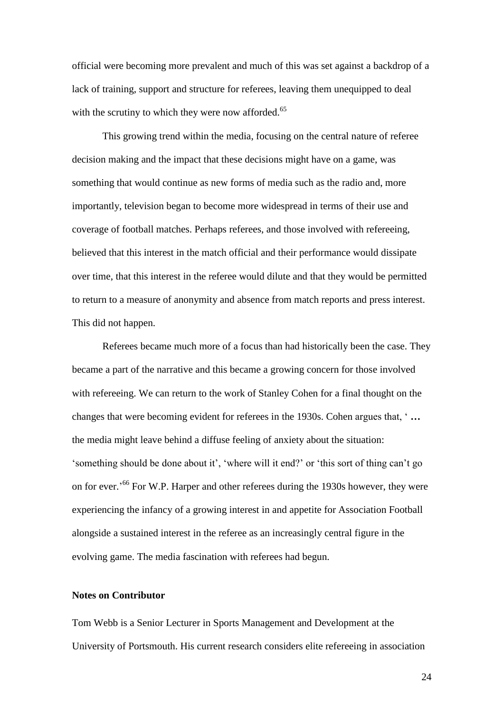official were becoming more prevalent and much of this was set against a backdrop of a lack of training, support and structure for referees, leaving them unequipped to deal with the scrutiny to which they were now afforded.<sup>65</sup>

This growing trend within the media, focusing on the central nature of referee decision making and the impact that these decisions might have on a game, was something that would continue as new forms of media such as the radio and, more importantly, television began to become more widespread in terms of their use and coverage of football matches. Perhaps referees, and those involved with refereeing, believed that this interest in the match official and their performance would dissipate over time, that this interest in the referee would dilute and that they would be permitted to return to a measure of anonymity and absence from match reports and press interest. This did not happen.

Referees became much more of a focus than had historically been the case. They became a part of the narrative and this became a growing concern for those involved with refereeing. We can return to the work of Stanley Cohen for a final thought on the changes that were becoming evident for referees in the 1930s. Cohen argues that, ' **…** the media might leave behind a diffuse feeling of anxiety about the situation: 'something should be done about it', 'where will it end?' or 'this sort of thing can't go on for ever.<sup>566</sup> For W.P. Harper and other referees during the 1930s however, they were experiencing the infancy of a growing interest in and appetite for Association Football alongside a sustained interest in the referee as an increasingly central figure in the evolving game. The media fascination with referees had begun.

# **Notes on Contributor**

Tom Webb is a Senior Lecturer in Sports Management and Development at the University of Portsmouth. His current research considers elite refereeing in association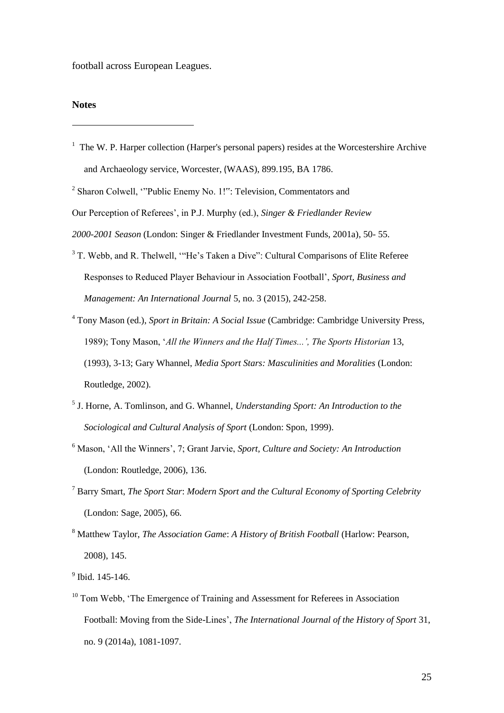football across European Leagues.

#### **Notes**

-

<sup>1</sup> The W. P. Harper collection (Harper's personal papers) resides at the Worcestershire Archive and Archaeology service, Worcester, (WAAS), 899.195, BA 1786.

<sup>2</sup> Sharon Colwell, "Public Enemy No. 1!": Television, Commentators and

Our Perception of Referees', in P.J. Murphy (ed.), *Singer & Friedlander Review* 

- <sup>3</sup> T. Webb, and R. Thelwell, "He's Taken a Dive": Cultural Comparisons of Elite Referee Responses to Reduced Player Behaviour in Association Football', *Sport, Business and Management: An International Journal* 5, no. 3 (2015), 242-258.
- <sup>4</sup> Tony Mason (ed.), *Sport in Britain: A Social Issue* (Cambridge: Cambridge University Press, 1989); Tony Mason, '*All the Winners and the Half Times...', The Sports Historian* 13, (1993), 3-13; Gary Whannel, *Media Sport Stars: Masculinities and Moralities* (London: Routledge, 2002).
- 5 J. Horne, A. Tomlinson, and G. Whannel, *Understanding Sport: An Introduction to the Sociological and Cultural Analysis of Sport* (London: Spon, 1999).
- <sup>6</sup> Mason, 'All the Winners', 7; Grant Jarvie, *Sport, Culture and Society: An Introduction* (London: Routledge, 2006), 136.
- <sup>7</sup> Barry Smart, *The Sport Star*: *Modern Sport and the Cultural Economy of Sporting Celebrity* (London: Sage, 2005), 66.
- <sup>8</sup> Matthew Taylor, *The Association Game*: *A History of British Football* (Harlow: Pearson, 2008), 145.

<sup>9</sup> Ibid. 145-146.

<sup>10</sup> Tom Webb, 'The Emergence of Training and Assessment for Referees in Association Football: Moving from the Side-Lines', *The International Journal of the History of Sport* 31, no. 9 (2014a), 1081-1097.

*<sup>2000-2001</sup> Season* (London: Singer & Friedlander Investment Funds, 2001a), 50- 55.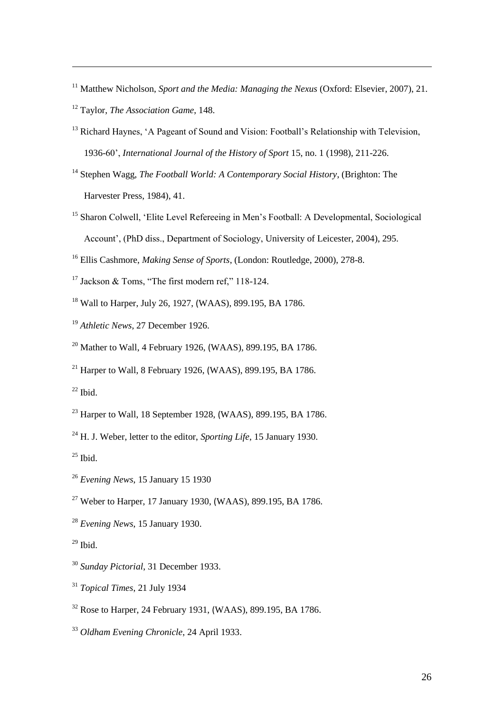Matthew Nicholson, *Sport and the Media: Managing the Nexus* (Oxford: Elsevier, 2007), 21. Taylor, *The Association Game*, 148.

<sup>13</sup> Richard Haynes, 'A Pageant of Sound and Vision: Football's Relationship with Television, 1936-60', *International Journal of the History of Sport* 15, no. 1 (1998), 211-226.

 Stephen Wagg, *The Football World: A Contemporary Social History*, (Brighton: The Harvester Press, 1984), 41.

- <sup>15</sup> Sharon Colwell, 'Elite Level Refereeing in Men's Football: A Developmental, Sociological Account', (PhD diss., Department of Sociology, University of Leicester, 2004), 295.
- Ellis Cashmore, *Making Sense of Sports*, (London: Routledge, 2000), 278-8.
- <sup>17</sup> Jackson & Toms, "The first modern ref," 118-124.
- Wall to Harper, July 26, 1927, (WAAS), 899.195, BA 1786.
- *Athletic News*, 27 December 1926.
- $^{20}$  Mather to Wall, 4 February 1926, (WAAS), 899.195, BA 1786.
- <sup>21</sup> Harper to Wall, 8 February 1926, (WAAS), 899, 195, BA 1786.

Ibid.

-

- $^{23}$  Harper to Wall, 18 September 1928, (WAAS), 899.195, BA 1786.
- H. J. Weber, letter to the editor, *Sporting Life*, 15 January 1930.

Ibid.

- *Evening News*, 15 January 15 1930
- Weber to Harper, 17 January 1930, (WAAS), 899.195, BA 1786.
- *Evening News*, 15 January 1930.

Ibid.

- *Sunday Pictorial*, 31 December 1933.
- *Topical Times*, 21 July 1934
- Rose to Harper, 24 February 1931, (WAAS), 899.195, BA 1786.

*Oldham Evening Chronicle*, 24 April 1933.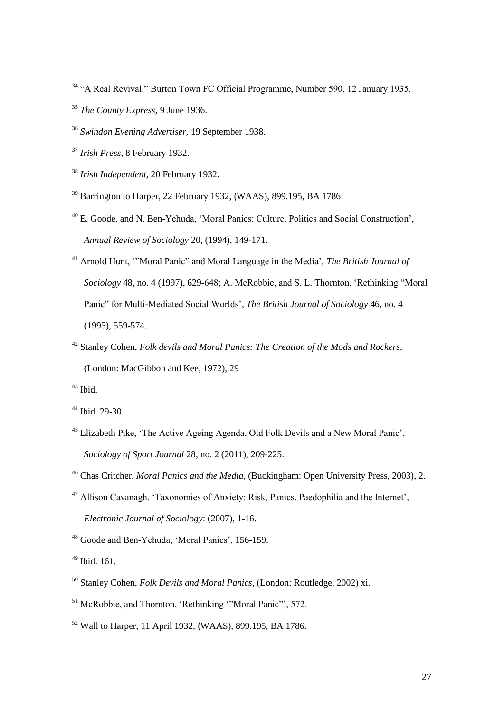- "A Real Revival." Burton Town FC Official Programme, Number 590, 12 January 1935.
- *The County Express*, 9 June 1936.
- *Swindon Evening Advertiser,* 19 September 1938.
- *Irish Press*, 8 February 1932.

-

- *Irish Independent*, 20 February 1932.
- <sup>39</sup> Barrington to Harper, 22 February 1932, (WAAS), 899.195, BA 1786.
- E. Goode, and N. Ben-Yehuda, 'Moral Panics: Culture, Politics and Social Construction', *Annual Review of Sociology* 20, (1994), 149-171.
- Arnold Hunt, '"Moral Panic" and Moral Language in the Media', *The British Journal of Sociology* 48, no. 4 (1997), 629-648; A. McRobbie, and S. L. Thornton, 'Rethinking "Moral Panic" for Multi-Mediated Social Worlds', *The British Journal of Sociology* 46, no. 4 (1995), 559-574.
- Stanley Cohen, *Folk devils and Moral Panics: The Creation of the Mods and Rockers*, (London: MacGibbon and Kee, 1972), 29
- Ibid.
- Ibid. 29-30.
- Elizabeth Pike, 'The Active Ageing Agenda, Old Folk Devils and a New Moral Panic', *Sociology of Sport Journal* 28, no. 2 (2011), 209-225.
- Chas Critcher, *Moral Panics and the Media*, (Buckingham: Open University Press, 2003), 2.
- Allison Cavanagh, 'Taxonomies of Anxiety: Risk, Panics, Paedophilia and the Internet', *Electronic Journal of Sociology*: (2007), 1-16.
- Goode and Ben-Yehuda, 'Moral Panics', 156-159.
- Ibid. 161.
- Stanley Cohen, *Folk Devils and Moral Panics*, (London: Routledge, 2002) xi.
- McRobbie, and Thornton, 'Rethinking '"Moral Panic"', 572.
- Wall to Harper, 11 April 1932, (WAAS), 899.195, BA 1786.